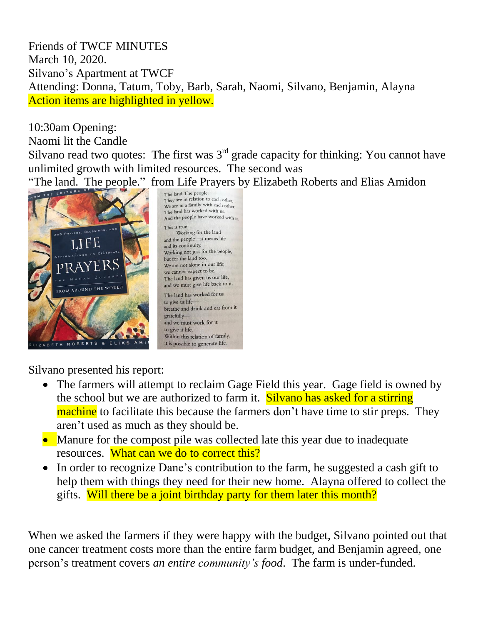Friends of TWCF MINUTES March 10, 2020. Silvano's Apartment at TWCF Attending: Donna, Tatum, Toby, Barb, Sarah, Naomi, Silvano, Benjamin, Alayna Action items are highlighted in yellow.

10:30am Opening: Naomi lit the Candle Silvano read two quotes: The first was  $3<sup>rd</sup>$  grade capacity for thinking: You cannot have unlimited growth with limited resources. The second was "The land. The people." from Life Prayers by Elizabeth Roberts and Elias Amidon



They are in relation to each other. We are in a family with each other. The land has worked with us. And the people have worked with it Working for the land and the people-it means life and its continuity. Working not just for the people, but for the land too. We are not alone in our life; we cannot expect to be. The land has given us our life, and we must give life back to it. The land has worked for us to give us lifebreathe and drink and eat from it gratefullyand we must work for it to give it life. Within this relation of family, it is possible to generate life.

Silvano presented his report:

- The farmers will attempt to reclaim Gage Field this year. Gage field is owned by the school but we are authorized to farm it. Silvano has asked for a stirring machine to facilitate this because the farmers don't have time to stir preps. They aren't used as much as they should be.
- Manure for the compost pile was collected late this year due to inadequate resources. What can we do to correct this?
- In order to recognize Dane's contribution to the farm, he suggested a cash gift to help them with things they need for their new home. Alayna offered to collect the gifts. Will there be a joint birthday party for them later this month?

When we asked the farmers if they were happy with the budget, Silvano pointed out that one cancer treatment costs more than the entire farm budget, and Benjamin agreed, one person's treatment covers *an entire community's food*. The farm is under-funded.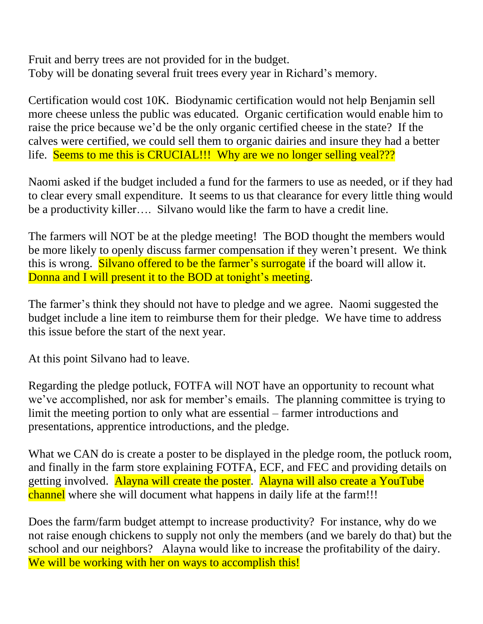Fruit and berry trees are not provided for in the budget. Toby will be donating several fruit trees every year in Richard's memory.

Certification would cost 10K. Biodynamic certification would not help Benjamin sell more cheese unless the public was educated. Organic certification would enable him to raise the price because we'd be the only organic certified cheese in the state? If the calves were certified, we could sell them to organic dairies and insure they had a better life. Seems to me this is CRUCIAL!!! Why are we no longer selling veal???

Naomi asked if the budget included a fund for the farmers to use as needed, or if they had to clear every small expenditure. It seems to us that clearance for every little thing would be a productivity killer…. Silvano would like the farm to have a credit line.

The farmers will NOT be at the pledge meeting! The BOD thought the members would be more likely to openly discuss farmer compensation if they weren't present. We think this is wrong. Silvano offered to be the farmer's surrogate if the board will allow it. Donna and I will present it to the BOD at tonight's meeting.

The farmer's think they should not have to pledge and we agree. Naomi suggested the budget include a line item to reimburse them for their pledge. We have time to address this issue before the start of the next year.

At this point Silvano had to leave.

Regarding the pledge potluck, FOTFA will NOT have an opportunity to recount what we've accomplished, nor ask for member's emails. The planning committee is trying to limit the meeting portion to only what are essential – farmer introductions and presentations, apprentice introductions, and the pledge.

What we CAN do is create a poster to be displayed in the pledge room, the potluck room, and finally in the farm store explaining FOTFA, ECF, and FEC and providing details on getting involved. Alayna will create the poster. Alayna will also create a YouTube channel where she will document what happens in daily life at the farm!!!

Does the farm/farm budget attempt to increase productivity? For instance, why do we not raise enough chickens to supply not only the members (and we barely do that) but the school and our neighbors? Alayna would like to increase the profitability of the dairy. We will be working with her on ways to accomplish this!